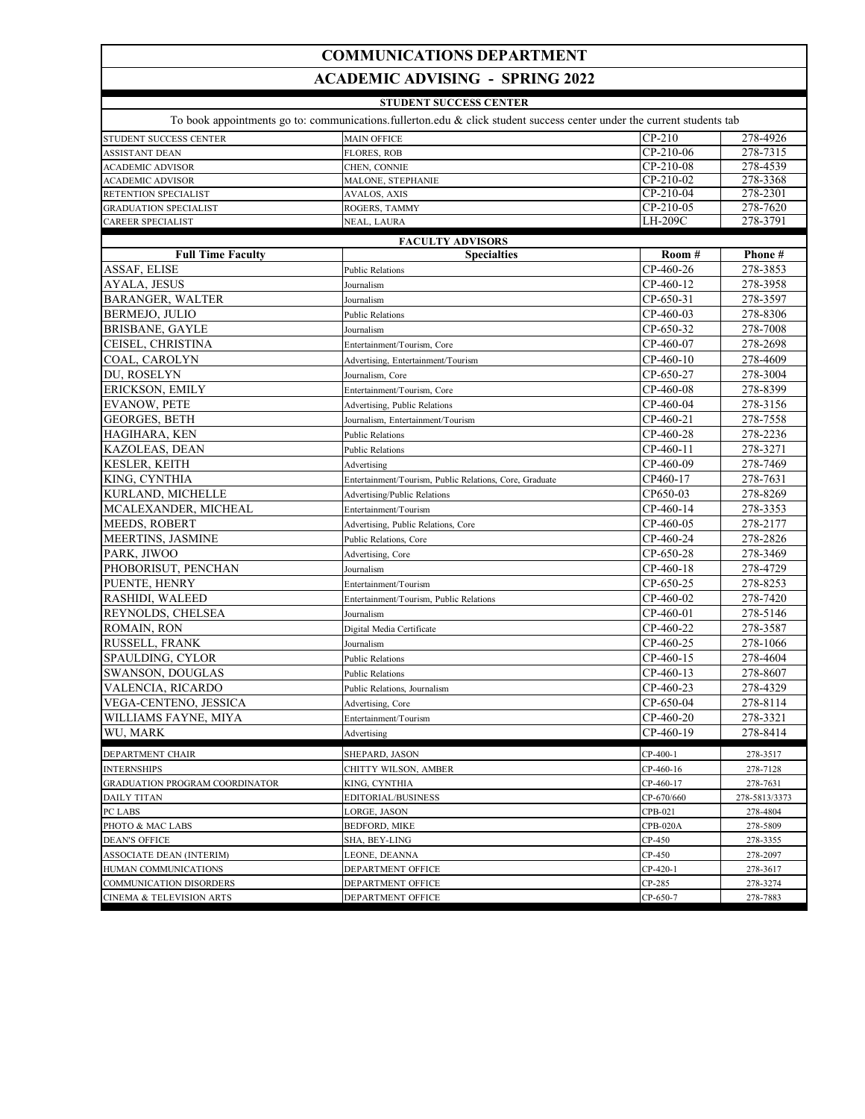## **ACADEMIC ADVISING - SPRING 2022 COMMUNICATIONS DEPARTMENT**

**STUDENT SUCCESS CENTER**

|                                                   | STUDENT SUCCESS CENTER                                                                                                 |                          |                      |
|---------------------------------------------------|------------------------------------------------------------------------------------------------------------------------|--------------------------|----------------------|
|                                                   | To book appointments go to: communications.fullerton.edu & click student success center under the current students tab |                          |                      |
| STUDENT SUCCESS CENTER                            | <b>MAIN OFFICE</b>                                                                                                     | $CP-210$                 | 278-4926             |
| <b>ASSISTANT DEAN</b>                             | <b>FLORES, ROB</b>                                                                                                     | CP-210-06                | 278-7315             |
| ACADEMIC ADVISOR                                  | CHEN, CONNIE                                                                                                           | CP-210-08                | 278-4539             |
| ACADEMIC ADVISOR                                  | MALONE, STEPHANIE                                                                                                      | $CP-210-02$<br>CP-210-04 | 278-3368<br>278-2301 |
| RETENTION SPECIALIST                              | AVALOS, AXIS                                                                                                           | CP-210-05                | 278-7620             |
| <b>GRADUATION SPECIALIST</b><br>CAREER SPECIALIST | ROGERS, TAMMY<br>NEAL, LAURA                                                                                           | LH-209C                  | 278-3791             |
|                                                   |                                                                                                                        |                          |                      |
| <b>Full Time Faculty</b>                          | <b>FACULTY ADVISORS</b><br><b>Specialties</b>                                                                          | Room #                   | Phone#               |
| ASSAF, ELISE                                      | <b>Public Relations</b>                                                                                                | CP-460-26                | 278-3853             |
| AYALA, JESUS                                      |                                                                                                                        | CP-460-12                | 278-3958             |
| <b>BARANGER, WALTER</b>                           | Journalism                                                                                                             | CP-650-31                | 278-3597             |
|                                                   | Journalism                                                                                                             |                          |                      |
| BERMEJO, JULIO                                    | <b>Public Relations</b>                                                                                                | CP-460-03                | 278-8306             |
| <b>BRISBANE, GAYLE</b>                            | Journalism                                                                                                             | CP-650-32                | 278-7008             |
| CEISEL, CHRISTINA                                 | Entertainment/Tourism, Core                                                                                            | CP-460-07                | 278-2698             |
| COAL, CAROLYN                                     | Advertising, Entertainment/Tourism                                                                                     | $CP-460-10$              | 278-4609             |
| DU, ROSELYN                                       | Journalism, Core                                                                                                       | CP-650-27                | 278-3004             |
| ERICKSON, EMILY                                   | Entertainment/Tourism, Core                                                                                            | CP-460-08                | 278-8399             |
| <b>EVANOW, PETE</b>                               | Advertising, Public Relations                                                                                          | CP-460-04                | 278-3156             |
| GEORGES, BETH                                     | Journalism, Entertainment/Tourism                                                                                      | CP-460-21                | 278-7558             |
| HAGIHARA, KEN                                     | Public Relations                                                                                                       | CP-460-28                | 278-2236             |
| KAZOLEAS, DEAN                                    | <b>Public Relations</b>                                                                                                | CP-460-11                | 278-3271             |
| KESLER, KEITH                                     | Advertising                                                                                                            | CP-460-09                | 278-7469             |
| KING, CYNTHIA                                     | Entertainment/Tourism, Public Relations, Core, Graduate                                                                | CP460-17                 | 278-7631             |
| KURLAND, MICHELLE                                 | Advertising/Public Relations                                                                                           | CP650-03                 | 278-8269             |
| MCALEXANDER, MICHEAL                              | Entertainment/Tourism                                                                                                  | CP-460-14                | 278-3353             |
| <b>MEEDS, ROBERT</b>                              | Advertising, Public Relations, Core                                                                                    | CP-460-05                | 278-2177             |
| MEERTINS, JASMINE                                 | Public Relations, Core                                                                                                 | CP-460-24                | 278-2826             |
| PARK, JIWOO                                       | Advertising, Core                                                                                                      | CP-650-28                | 278-3469             |
| PHOBORISUT, PENCHAN                               | Journalism                                                                                                             | $CP-460-18$              | 278-4729             |
| PUENTE, HENRY                                     | Entertainment/Tourism                                                                                                  | CP-650-25                | 278-8253             |
| RASHIDI, WALEED                                   | Entertainment/Tourism, Public Relations                                                                                | CP-460-02                | 278-7420             |
| REYNOLDS, CHELSEA                                 | Journalism                                                                                                             | $CP-460-01$              | 278-5146             |
| ROMAIN, RON                                       | Digital Media Certificate                                                                                              | CP-460-22                | 278-3587             |
| RUSSELL, FRANK                                    | Journalism                                                                                                             | CP-460-25                | 278-1066             |
| SPAULDING, CYLOR                                  | <b>Public Relations</b>                                                                                                | $CP-460-15$              | 278-4604             |
| SWANSON, DOUGLAS                                  | Public Relations                                                                                                       | CP-460-13                | 278-8607             |
| VALENCIA, RICARDO                                 | Public Relations, Journalism                                                                                           | CP-460-23                | 278-4329             |
| VEGA-CENTENO, JESSICA                             | Advertising, Core                                                                                                      | CP-650-04                | 278-8114             |
| WILLIAMS FAYNE, MIYA                              | Entertainment/Tourism                                                                                                  | $CP-460-20$              | 278-3321             |
| WU, MARK                                          | Advertising                                                                                                            | CP-460-19                | 278-8414             |
| DEPARTMENT CHAIR                                  | SHEPARD, JASON                                                                                                         | $CP-400-1$               | 278-3517             |
| <b>INTERNSHIPS</b>                                | CHITTY WILSON, AMBER                                                                                                   | CP-460-16                | 278-7128             |
| <b>GRADUATION PROGRAM COORDINATOR</b>             | KING, CYNTHIA                                                                                                          | CP-460-17                | 278-7631             |
| DAILY TITAN                                       | EDITORIAL/BUSINESS                                                                                                     | CP-670/660               | 278-5813/3373        |
| PC LABS                                           | LORGE, JASON                                                                                                           | CPB-021                  | 278-4804             |
| PHOTO & MAC LABS                                  | BEDFORD, MIKE                                                                                                          | <b>CPB-020A</b>          | 278-5809             |
| <b>DEAN'S OFFICE</b>                              | SHA, BEY-LING                                                                                                          | CP-450                   | 278-3355             |
| ASSOCIATE DEAN (INTERIM)                          | LEONE, DEANNA                                                                                                          | $CP-450$                 | 278-2097             |
| HUMAN COMMUNICATIONS                              | DEPARTMENT OFFICE                                                                                                      | $CP-420-1$               | 278-3617             |
| COMMUNICATION DISORDERS                           | DEPARTMENT OFFICE                                                                                                      | CP-285                   | 278-3274             |
| CINEMA & TELEVISION ARTS                          | DEPARTMENT OFFICE                                                                                                      | CP-650-7                 | 278-7883             |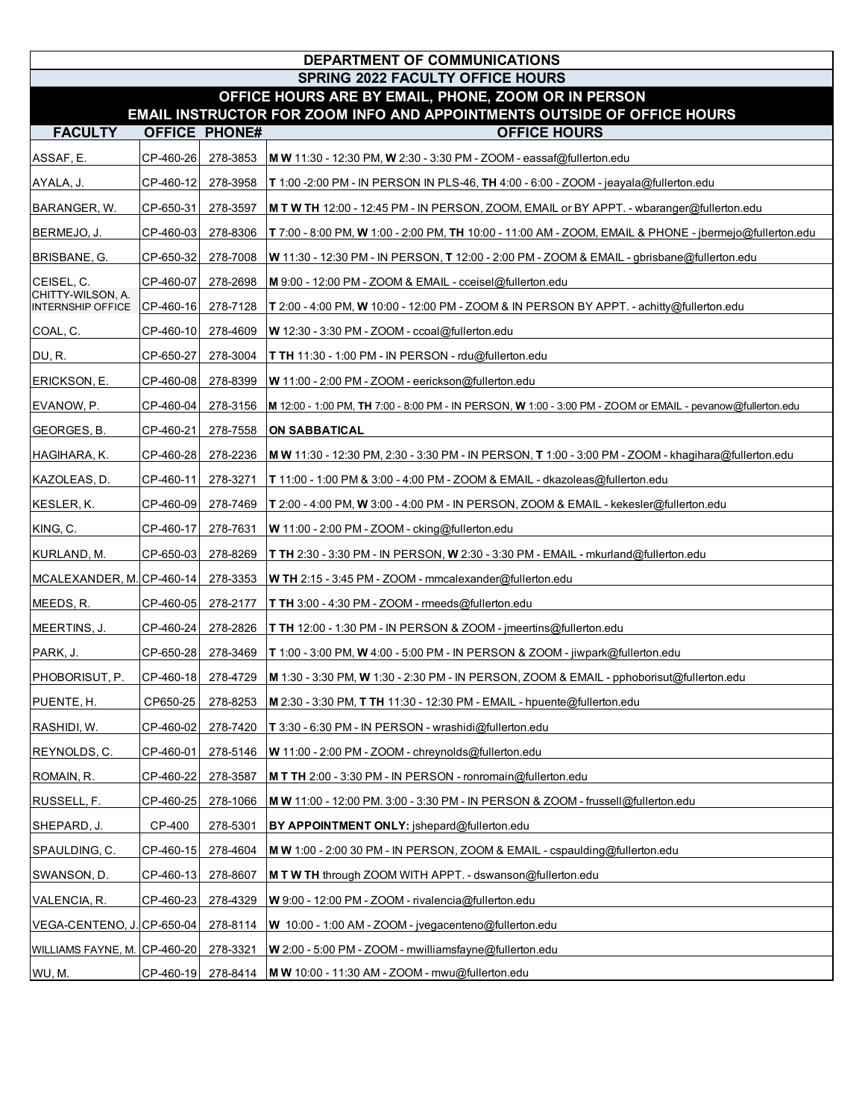| DEPARTMENT OF COMMUNICATIONS                                                                                                          |           |                      |                                                                                                             |  |  |  |
|---------------------------------------------------------------------------------------------------------------------------------------|-----------|----------------------|-------------------------------------------------------------------------------------------------------------|--|--|--|
| <b>SPRING 2022 FACULTY OFFICE HOURS</b>                                                                                               |           |                      |                                                                                                             |  |  |  |
| OFFICE HOURS ARE BY EMAIL, PHONE, ZOOM OR IN PERSON<br><b>EMAIL INSTRUCTOR FOR ZOOM INFO AND APPOINTMENTS OUTSIDE OF OFFICE HOURS</b> |           |                      |                                                                                                             |  |  |  |
| <b>FACULTY</b>                                                                                                                        |           | <b>OFFICE PHONE#</b> | <b>OFFICE HOURS</b>                                                                                         |  |  |  |
| ASSAF, E.                                                                                                                             | CP-460-26 | 278-3853             | <b>MW</b> 11:30 - 12:30 PM, W 2:30 - 3:30 PM - ZOOM - eassaf@fullerton.edu                                  |  |  |  |
| AYALA, J.                                                                                                                             | CP-460-12 | 278-3958             | <b>T</b> 1:00 -2:00 PM - IN PERSON IN PLS-46, <b>TH</b> 4:00 - 6:00 - ZOOM - jeayala@fullerton.edu          |  |  |  |
| BARANGER, W.                                                                                                                          | CP-650-31 | 278-3597             | <b>MTWTH</b> 12:00 - 12:45 PM - IN PERSON, ZOOM, EMAIL or BY APPT. - wbaranger@fullerton.edu                |  |  |  |
| BERMEJO, J.                                                                                                                           | CP-460-03 | 278-8306             | T 7:00 - 8:00 PM, W 1:00 - 2:00 PM, TH 10:00 - 11:00 AM - ZOOM, EMAIL & PHONE - jbermejo@fullerton.edu      |  |  |  |
| BRISBANE, G.                                                                                                                          | CP-650-32 | 278-7008             | $\vert$ W 11:30 - 12:30 PM - IN PERSON, T 12:00 - 2:00 PM - ZOOM & EMAIL - gbrisbane@fullerton.edu          |  |  |  |
| CEISEL, C.                                                                                                                            | CP-460-07 | 278-2698             | M 9:00 - 12:00 PM - ZOOM & EMAIL - cceisel@fullerton.edu                                                    |  |  |  |
| CHITTY-WILSON, A.<br><b>INTERNSHIP OFFICE</b>                                                                                         | CP-460-16 | 278-7128             | T 2:00 - 4:00 PM, W 10:00 - 12:00 PM - ZOOM & IN PERSON BY APPT. - achitty@fullerton.edu                    |  |  |  |
| COAL, C.                                                                                                                              | CP-460-10 | 278-4609             | W 12:30 - 3:30 PM - ZOOM - $ccoal@fullerton.edu$                                                            |  |  |  |
| DU, R.                                                                                                                                | CP-650-27 | 278-3004             | <b>T TH</b> $11:30 - 1:00$ PM - IN PERSON - $rdu@fullerton.edu$                                             |  |  |  |
| ERICKSON, E.                                                                                                                          | CP-460-08 | 278-8399             | W 11:00 - 2:00 PM - ZOOM - eerickson@fullerton.edu                                                          |  |  |  |
| EVANOW, P.                                                                                                                            | CP-460-04 | 278-3156             | M 12:00 - 1:00 PM, TH 7:00 - 8:00 PM - IN PERSON, W 1:00 - 3:00 PM - ZOOM or EMAIL - pevanow@fullerton.edu  |  |  |  |
| GEORGES, B.                                                                                                                           | CP-460-21 | 278-7558             | <b>ON SABBATICAL</b>                                                                                        |  |  |  |
| HAGIHARA, K.                                                                                                                          | CP-460-28 | 278-2236             | M W 11:30 - 12:30 PM, 2:30 - 3:30 PM - IN PERSON, T 1:00 - 3:00 PM - ZOOM - khagihara@fullerton.edu         |  |  |  |
| KAZOLEAS, D.                                                                                                                          | CP-460-11 | 278-3271             | T 11:00 - 1:00 PM & 3:00 - 4:00 PM - ZOOM & EMAIL - dkazoleas@fullerton.edu                                 |  |  |  |
| KESLER, K.                                                                                                                            | CP-460-09 | 278-7469             | T 2:00 - 4:00 PM, W 3:00 - 4:00 PM - IN PERSON, ZOOM & EMAIL - kekesler@fullerton.edu                       |  |  |  |
| KING, C.                                                                                                                              | CP-460-17 | 278-7631             | W 11:00 - 2:00 PM - ZOOM - cking@fullerton.edu                                                              |  |  |  |
| KURLAND, M.                                                                                                                           | CP-650-03 | 278-8269             | <b>T TH</b> 2:30 - 3:30 PM - IN PERSON, W 2:30 - 3:30 PM - EMAIL - mkurland@fullerton.edu                   |  |  |  |
| MCALEXANDER, M. CP-460-14                                                                                                             |           | 278-3353             | <b>W TH</b> 2:15 - 3:45 PM - ZOOM - mmcalexander@fullerton.edu                                              |  |  |  |
| MEEDS, R.                                                                                                                             | CP-460-05 | 278-2177             | T TH 3:00 - 4:30 PM - ZOOM - rmeeds@fullerton.edu                                                           |  |  |  |
| MEERTINS, J.                                                                                                                          | CP-460-24 | 278-2826             | <b>T TH</b> 12:00 - 1:30 PM - IN PERSON & ZOOM - imeertins@fullerton.edu                                    |  |  |  |
| PARK, J.                                                                                                                              | CP-650-28 | 278-3469             | T 1:00 - 3:00 PM, W 4:00 - 5:00 PM - IN PERSON & ZOOM - jiwpark@fullerton.edu                               |  |  |  |
| PHOBORISUT, P.                                                                                                                        |           |                      | CP-460-18 278-4729 M 1:30 - 3:30 PM, W 1:30 - 2:30 PM - IN PERSON, ZOOM & EMAIL - pphoborisut@fullerton.edu |  |  |  |
| PUENTE, H.                                                                                                                            | CP650-25  | 278-8253             | M 2:30 - 3:30 PM, T TH 11:30 - 12:30 PM - EMAIL - hpuente@fullerton.edu                                     |  |  |  |
| RASHIDI, W.                                                                                                                           | CP-460-02 | 278-7420             | T 3:30 - 6:30 PM - IN PERSON - wrashidi@fullerton.edu                                                       |  |  |  |
| REYNOLDS, C.                                                                                                                          | CP-460-01 | 278-5146             | <b>W</b> 11:00 - 2:00 PM - ZOOM - chreynolds@fullerton.edu                                                  |  |  |  |
| ROMAIN, R.                                                                                                                            | CP-460-22 | 278-3587             | M T TH 2:00 - 3:30 PM - IN PERSON - ronromain@fullerton.edu                                                 |  |  |  |
| RUSSELL, F.                                                                                                                           | CP-460-25 | 278-1066             | M W 11:00 - 12:00 PM. 3:00 - 3:30 PM - IN PERSON & ZOOM - frussell@fullerton.edu                            |  |  |  |
| SHEPARD, J.                                                                                                                           | CP-400    | 278-5301             | <b>BY APPOINTMENT ONLY:</b> jshepard@fullerton.edu                                                          |  |  |  |
| SPAULDING, C.                                                                                                                         | CP-460-15 | 278-4604             | M W 1:00 - 2:00 30 PM - IN PERSON, ZOOM & EMAIL - cspaulding@fullerton.edu                                  |  |  |  |
| SWANSON, D.                                                                                                                           | CP-460-13 | 278-8607             | M T W TH through ZOOM WITH APPT. - dswanson@fullerton.edu                                                   |  |  |  |
| VALENCIA, R.                                                                                                                          | CP-460-23 | 278-4329             | $W$ 9:00 - 12:00 PM - ZOOM - rivalencia@fullerton.edu                                                       |  |  |  |
| VEGA-CENTENO, J. CP-650-04                                                                                                            |           | 278-8114             | <b>W</b> 10:00 - 1:00 AM - ZOOM - jvegacenteno@fullerton.edu                                                |  |  |  |
| WILLIAMS FAYNE, M.                                                                                                                    | CP-460-20 | 278-3321             | W 2:00 - 5:00 PM - ZOOM - mwilliamsfayne@fullerton.edu                                                      |  |  |  |
| WU, M.                                                                                                                                | CP-460-19 | 278-8414             | MW 10:00 - 11:30 AM - ZOOM - mwu@fullerton.edu                                                              |  |  |  |